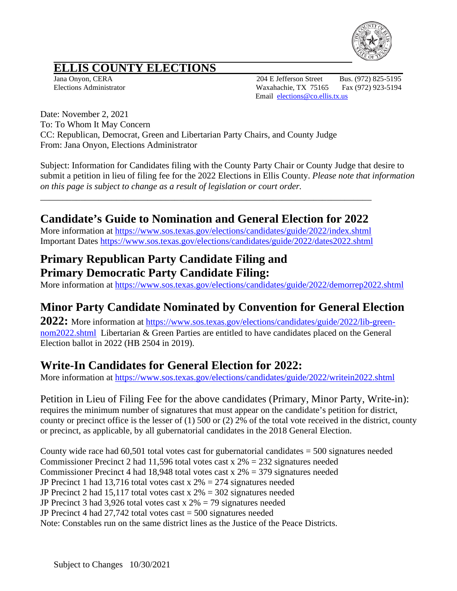

# **ELLIS COUNTY ELECTIONS**<br>Jana Onyon, CERA

204 E Jefferson Street Bus. (972) 825-5195 Elections Administrator Waxahachie, TX 75165 Fax (972) 923-5194 Email [elections@co.ellis.tx.us](mailto:elections@co.ellis.tx.us)

Date: November 2, 2021 To: To Whom It May Concern CC: Republican, Democrat, Green and Libertarian Party Chairs, and County Judge From: Jana Onyon, Elections Administrator

Subject: Information for Candidates filing with the County Party Chair or County Judge that desire to submit a petition in lieu of filing fee for the 2022 Elections in Ellis County. *Please note that information on this page is subject to change as a result of legislation or court order.*

### **Candidate's Guide to Nomination and General Election for 2022**

\_\_\_\_\_\_\_\_\_\_\_\_\_\_\_\_\_\_\_\_\_\_\_\_\_\_\_\_\_\_\_\_\_\_\_\_\_\_\_\_\_\_\_\_\_\_\_\_\_\_\_\_\_\_\_\_\_\_\_\_\_\_\_\_\_\_\_\_\_\_\_\_\_\_

More information at https://www.sos.texas.gov/elections/candidates/guide/2022/index.shtml Important Dates<https://www.sos.texas.gov/elections/candidates/guide/2022/dates2022.shtml>

#### **Primary Republican Party Candidate Filing and Primary Democratic Party Candidate Filing:**

More information at<https://www.sos.texas.gov/elections/candidates/guide/2022/demorrep2022.shtml>

### **Minor Party Candidate Nominated by Convention for General Election**

**2022:** More information at [https://www.sos.texas.gov/elections/candidates/guide/2022/lib-green](https://www.sos.texas.gov/elections/candidates/guide/2022/lib-green-nom2022.shtml)[nom2022.shtml](https://www.sos.texas.gov/elections/candidates/guide/2022/lib-green-nom2022.shtml) Libertarian & Green Parties are entitled to have candidates placed on the General Election ballot in 2022 (HB 2504 in 2019).

### **Write-In Candidates for General Election for 2022:**

More information at<https://www.sos.texas.gov/elections/candidates/guide/2022/writein2022.shtml>

Petition in Lieu of Filing Fee for the above candidates (Primary, Minor Party, Write-in): requires the minimum number of signatures that must appear on the candidate's petition for district, county or precinct office is the lesser of (1) 500 or (2) 2% of the total vote received in the district, county or precinct, as applicable, by all gubernatorial candidates in the 2018 General Election.

County wide race had  $60,501$  total votes cast for gubernatorial candidates  $= 500$  signatures needed Commissioner Precinct 2 had 11,596 total votes cast  $x 2\% = 232$  signatures needed Commissioner Precinct 4 had 18,948 total votes cast x 2% = 379 signatures needed JP Precinct 1 had 13,716 total votes cast  $x 2\% = 274$  signatures needed JP Precinct 2 had 15,117 total votes cast  $x 2\% = 302$  signatures needed JP Precinct 3 had 3,926 total votes cast  $x 2\% = 79$  signatures needed JP Precinct 4 had 27,742 total votes cast = 500 signatures needed Note: Constables run on the same district lines as the Justice of the Peace Districts.